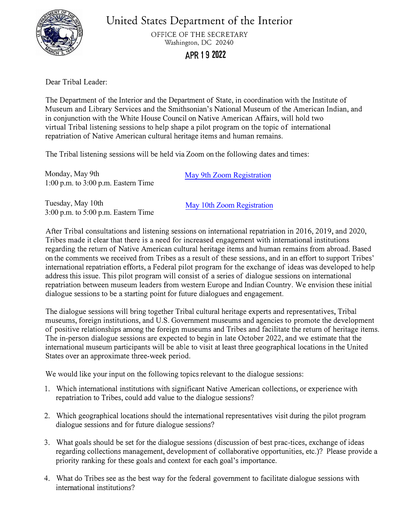

**United** States **Department of the Interior** 

OFFICE OF THE SECRETARY Washington, DC 20240

## **APR 1 9 2022**

Dear Tribal Leader:

The Department of the Interior and the Department of State, in coordination with the Institute of Museum and Library Services and the Smithsonian's National Museum of the American Indian, and in conjunction with the White House Council on Native American Affairs, will hold two virtual Tribal listening sessions to help shape a pilot program on the topic of international repatriation of Native American cultural heritage items and human remains.

The Tribal listening sessions will be held via Zoom on the following dates and times:

Monday, May 9th 1:00 p.m. to 3:00 p.m. Eastern Time [May 9th Zoom Registration](https://gcc02.safelinks.protection.outlook.com/?url=https%3A%2F%2Fwww.zoomgov.com%2Fj%2F1604704254%3Fpwd%3DWTFVWmVQdGZQWmJ3cXBudHdla0RWZz09&data=04%7C01%7CFryAD%40state.gov%7C6aaf204d7f9a44e5072708da17e3b472%7C66cf50745afe48d1a691a12b2121f44b%7C0%7C0%7C637848563992797722%7CUnknown%7CTWFpbGZsb3d8eyJWIjoiMC4wLjAwMDAiLCJQIjoiV2luMzIiLCJBTiI6Ik1haWwiLCJXVCI6Mn0%3D%7C3000&sdata=BdqVOXeHx4vqg0jI6NyV%2FC4iwlWIaSOie7SlFJ9H%2Fgk%3D&reserved=0) 

Tuesday, May 10th 3:00 p.m. to 5:00 p.m. Eastern Time

[May 10th Zoom Registration](https://gcc02.safelinks.protection.outlook.com/?url=https%3A%2F%2Fwww.zoomgov.com%2Fj%2F1606402700%3Fpwd%3DS1YyanhjdjJvUGM5Qk1wbTRjdFNSQT09&data=04%7C01%7CFryAD%40state.gov%7Cd1be591ede504b31453208da17e1cef3%7C66cf50745afe48d1a691a12b2121f44b%7C0%7C0%7C637848555859186358%7CUnknown%7CTWFpbGZsb3d8eyJWIjoiMC4wLjAwMDAiLCJQIjoiV2luMzIiLCJBTiI6Ik1haWwiLCJXVCI6Mn0%3D%7C3000&sdata=n2B7kyS4CX3QYtLK%2BK9aEY%2FfW1JPW2bMhrd%2Fg%2BYE1bk%3D&reserved=0)

After Tribal consultations and listening sessions on international repatriation in 2016, 2019, and 2020, Tribes made it clear that there is a need for increased engagement with international institutions regarding the return of Native American cultural heritage items and human remains from abroad. Based on the comments we received from Tribes as a result of these sessions, and in an effort to support Tribes' international repatriation efforts, a Federal pilot program for the exchange of ideas was developed to help address this issue. This pilot program will consist of a series of dialogue sessions on international repatriation between museum leaders from western Europe and Indian Country. We envision these initial dialogue sessions to be a starting point for future dialogues and engagement.

The dialogue sessions will bring together Tribal cultural heritage experts and representatives, Tribal museums, foreign institutions, and U.S. Government museums and agencies to promote the development of positive relationships among the foreign museums and Tribes and facilitate the return of heritage items. The in-person dialogue sessions are expected to begin in late October 2022, and we estimate that the international museum participants will be able to visit at least three geographical locations in the United States over an approximate three-week period.

We would like your input on the following topics relevant to the dialogue sessions:

- 1. Which international institutions with significant Native American collections, or experience with repatriation to Tribes, could add value to the dialogue sessions?
- 2. Which geographical locations should the international representatives visit during the pilot program dialogue sessions and for future dialogue sessions?
- 3. What goals should be set for the dialogue sessions (discussion of best prac-tices, exchange of ideas regarding collections management, development of collaborative opportunities, etc.)? Please provide a priority ranking for these goals and context for each goal's importance.
- 4. What do Tribes see as the best way for the federal government to facilitate dialogue sessions with international institutions?